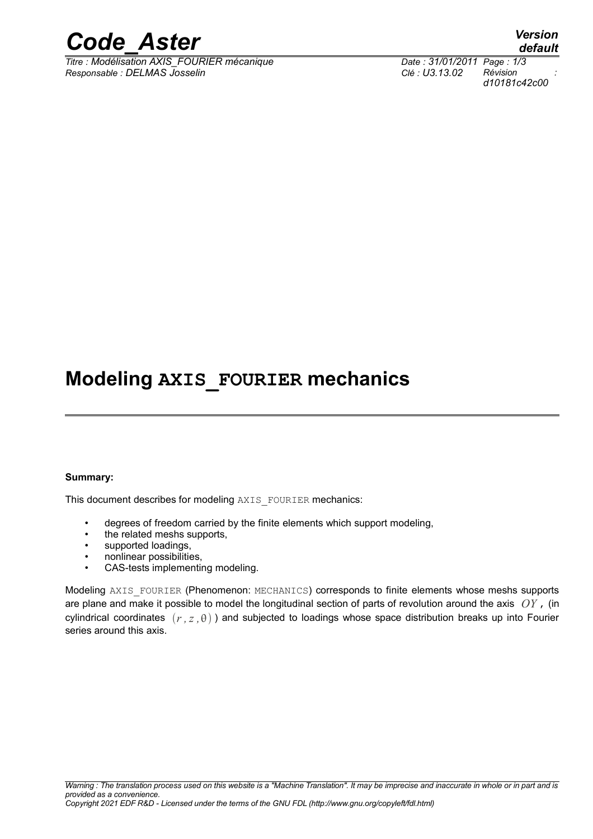

*Titre : Modélisation AXIS\_FOURIER mécanique Date : 31/01/2011 Page : 1/3 Responsable : DELMAS Josselin Clé : U3.13.02 Révision :*

### **Modeling AXIS\_FOURIER mechanics**

#### **Summary:**

This document describes for modeling AXIS\_FOURIER mechanics:

- degrees of freedom carried by the finite elements which support modeling,
- the related meshs supports,
- supported loadings,
- nonlinear possibilities,
- CAS-tests implementing modeling.

Modeling AXIS\_FOURIER (Phenomenon: MECHANICS) corresponds to finite elements whose meshs supports are plane and make it possible to model the longitudinal section of parts of revolution around the axis *OY* , (in cylindrical coordinates  $(r, z, \theta)$ ) and subjected to loadings whose space distribution breaks up into Fourier series around this axis.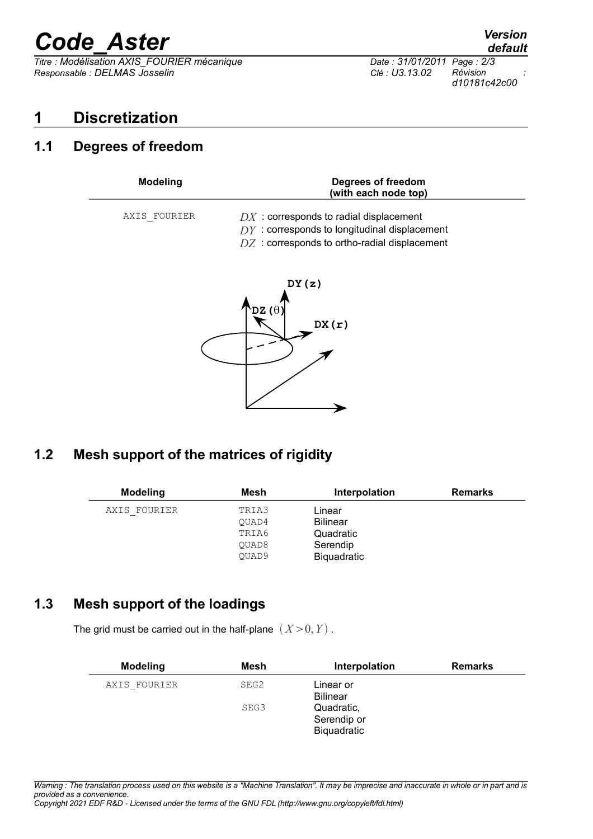# *Code\_Aster Version*

*Titre : Modélisation AXIS\_FOURIER mécanique Date : 31/01/2011 Page : 2/3 Responsable : DELMAS Josselin Clé : U3.13.02 Révision :*

*d10181c42c00*

#### **1 Discretization**

#### **1.1 Degrees of freedom**

| <b>Modeling</b> | Degrees of freedom<br>(with each node top)                                                                                                    |  |
|-----------------|-----------------------------------------------------------------------------------------------------------------------------------------------|--|
| AXIS FOURIER    | $DX:$ corresponds to radial displacement<br>$DY:$ corresponds to longitudinal displacement<br>$DZ$ : corresponds to ortho-radial displacement |  |



#### **1.2 Mesh support of the matrices of rigidity**

|                                  | Interpolation                                      | <b>Remarks</b> |
|----------------------------------|----------------------------------------------------|----------------|
| TRIA3<br>OUAD4<br>TRIA6<br>OUAD8 | Linear<br><b>Bilinear</b><br>Quadratic<br>Serendip |                |
|                                  | Mesh<br>OUAD9                                      | Biquadratic    |

#### **1.3 Mesh support of the loadings**

The grid must be carried out in the half-plane  $(X > 0, Y)$ .

| <b>Modeling</b> | Mesh | Interpolation                            | <b>Remarks</b> |
|-----------------|------|------------------------------------------|----------------|
| AXIS FOURIER    | SEG2 | Linear or<br><b>Bilinear</b>             |                |
|                 | SEG3 | Quadratic,<br>Serendip or<br>Biquadratic |                |

*Warning : The translation process used on this website is a "Machine Translation". It may be imprecise and inaccurate in whole or in part and is provided as a convenience.*

*Copyright 2021 EDF R&D - Licensed under the terms of the GNU FDL (http://www.gnu.org/copyleft/fdl.html)*